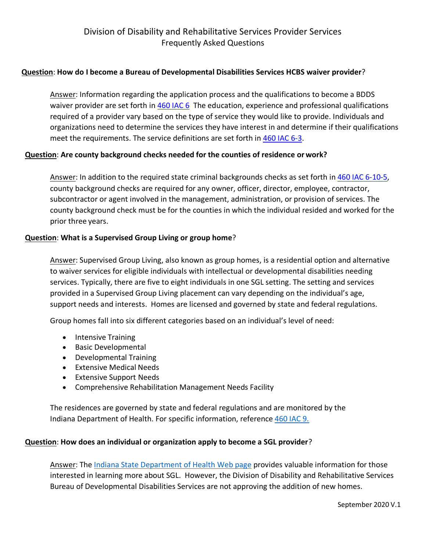## **Question**: **How do I become a Bureau of Developmental Disabilities Services HCBS waiver provider**?

Answer: Information regarding the application process and the qualifications to become a BDDS waiver provider are set forth in [460 IAC 6](https://www.in.gov/fssa/ddrs/files/460-IAC-6.PDF) The education, experience and professional qualifications required of a provider vary based on the type of service they would like to provide. Individuals and organizations need to determine the services they have interest in and determine if their qualifications meet the requirements. The service definitions are set forth in [460 IAC 6-3](https://www.in.gov/fssa/ddrs/files/460-IAC-6.PDF).

## **Question**: **Are county background checks needed for the counties of residence orwork?**

Answer: In addition to the required state criminal backgrounds checks as set forth in [460 IAC 6-10-5,](https://www.in.gov/fssa/ddrs/files/460-IAC-6.PDF) county background checks are required for any owner, officer, director, employee, contractor, subcontractor or agent involved in the management, administration, or provision of services. The county background check must be for the counties in which the individual resided and worked for the prior three years.

## **Question**: **What is a Supervised Group Living or group home**?

Answer: Supervised Group Living, also known as group homes, is a residential option and alternative to waiver services for eligible individuals with intellectual or developmental disabilities needing services. Typically, there are five to eight individuals in one SGL setting. The setting and services provided in a Supervised Group Living placement can vary depending on the individual's age, support needs and interests. Homes are licensed and governed by state and federal regulations.

Group homes fall into six different categories based on an individual's level of need:

- · Intensive Training
- · Basic Developmental
- · Developmental Training
- · Extensive Medical Needs
- · Extensive Support Needs
- · Comprehensive Rehabilitation Management Needs Facility

The residences are governed by state and federal regulations and are monitored by the Indiana Department of Health. For specific information, reference [460 IAC 9.](http://iac.iga.in.gov/iac//T04600/A00090.PDF)

### **Question**: **How does an individual or organization apply to become a SGL provider**?

Answer: The [Indiana State Department of Health Web page](https://secure.in.gov/isdh/20508.htm) provides valuable information for those interested in learning more about SGL. However, the Division of Disability and Rehabilitative Services Bureau of Developmental Disabilities Services are not approving the addition of new homes.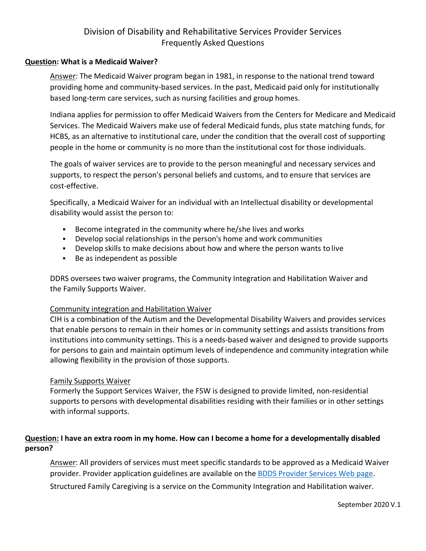# Division of Disability and Rehabilitative Services Provider Services Frequently Asked Questions

### **Question: What is a Medicaid Waiver?**

Answer: The Medicaid Waiver program began in 1981, in response to the national trend toward providing home and community-based services. In the past, Medicaid paid only for institutionally based long-term care services, such as nursing facilities and group homes.

Indiana applies for permission to offer Medicaid Waivers from the Centers for Medicare and Medicaid Services. The Medicaid Waivers make use of federal Medicaid funds, plus state matching funds, for HCBS, as an alternative to institutional care, under the condition that the overall cost of supporting people in the home or community is no more than the institutional cost for those individuals.

The goals of waiver services are to provide to the person meaningful and necessary services and supports, to respect the person's personal beliefs and customs, and to ensure that services are cost-effective.

Specifically, a Medicaid Waiver for an individual with an Intellectual disability or developmental disability would assist the person to:

- Become integrated in the community where he/she lives and works
- § Develop social relationships in the person's home and work communities
- § Develop skills to make decisions about how and where the person wants to live
- § Be as independent as possible

DDRS oversees two waiver programs, the Community Integration and Habilitation Waiver and the Family Supports Waiver.

### Community integration and Habilitation Waiver

CIH is a combination of the Autism and the Developmental Disability Waivers and provides services that enable persons to remain in their homes or in community settings and assists transitions from institutions into community settings. This is a needs-based waiver and designed to provide supports for persons to gain and maintain optimum levels of independence and community integration while allowing flexibility in the provision of those supports.

### Family Supports Waiver

Formerly the Support Services Waiver, the FSW is designed to provide limited, non-residential supports to persons with developmental disabilities residing with their families or in other settings with informal supports.

## **Question: I have an extra room in my home. How can I become a home for a developmentally disabled person?**

Answer: All providers of services must meet specific standards to be approved as a Medicaid Waiver provider. Provider application guidelines are available on the [BDDS Provider Services Web page.](https://secure.in.gov/fssa/ddrs/2644.htm)

Structured Family Caregiving is a service on the Community Integration and Habilitation waiver.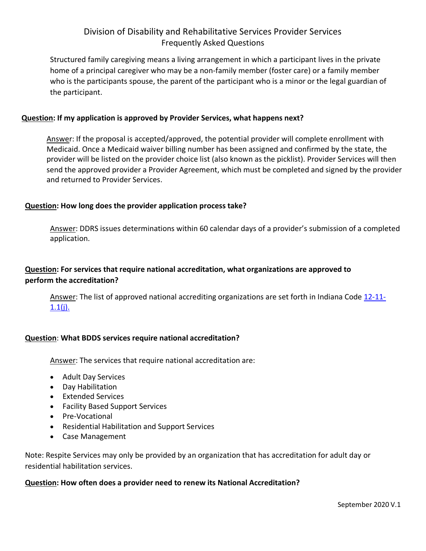# Division of Disability and Rehabilitative Services Provider Services Frequently Asked Questions

Structured family caregiving means a living arrangement in which a participant lives in the private home of a principal caregiver who may be a non-family member (foster care) or a family member who is the participants spouse, the parent of the participant who is a minor or the legal guardian of the participant.

### **Question: If my application is approved by Provider Services, what happens next?**

Answer: If the proposal is accepted/approved, the potential provider will complete enrollment with Medicaid. Once a Medicaid waiver billing number has been assigned and confirmed by the state, the provider will be listed on the provider choice list (also known as the picklist). Provider Services will then send the approved provider a Provider Agreement, which must be completed and signed by the provider and returned to Provider Services.

## **Question: How long does the provider application process take?**

Answer: DDRS issues determinations within 60 calendar days of a provider's submission of a completed application.

## **Question: For services that require national accreditation, what organizations are approved to perform the accreditation?**

Answer: The list of approved national accrediting organizations are set forth in Indiana Code [12-11-](http://iga.in.gov/legislative/laws/2020/ic/titles/012#12-11)  $1.1(j)$ .

## **Question**: **What BDDS services require national accreditation?**

Answer: The services that require national accreditation are:

- · Adult Day Services
- · Day Habilitation
- · Extended Services
- · Facility Based Support Services
- · Pre-Vocational
- · Residential Habilitation and Support Services
- · Case Management

Note: Respite Services may only be provided by an organization that has accreditation for adult day or residential habilitation services.

### **Question: How often does a provider need to renew its National Accreditation?**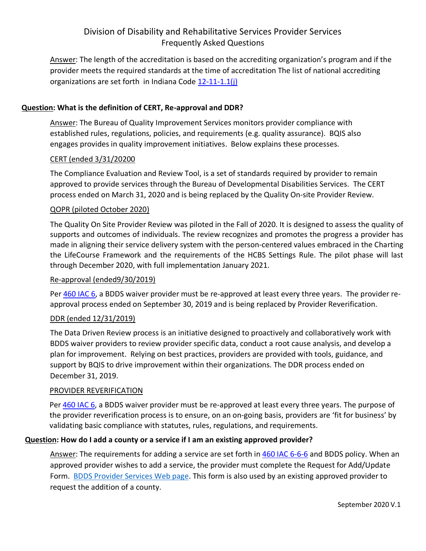# Division of Disability and Rehabilitative Services Provider Services Frequently Asked Questions

Answer: The length of the accreditation is based on the accrediting organization's program and if the provider meets the required standards at the time of accreditation The list of national accrediting organizations are set forth in Indiana Code [12-11-1.1\(j\)](http://iga.in.gov/legislative/laws/2020/ic/titles/012#12-11)

## **Question: What is the definition of CERT, Re-approval and DDR?**

Answer: The Bureau of Quality Improvement Services monitors provider compliance with established rules, regulations, policies, and requirements (e.g. quality assurance). BQIS also engages provides in quality improvement initiatives. Below explains these processes.

### CERT (ended 3/31/20200

The Compliance Evaluation and Review Tool, is a set of standards required by provider to remain approved to provide services through the Bureau of Developmental Disabilities Services. The CERT process ended on March 31, 2020 and is being replaced by the Quality On-site Provider Review.

### QOPR (piloted October 2020)

The Quality On Site Provider Review was piloted in the Fall of 2020. It is designed to assess the quality of supports and outcomes of individuals. The review recognizes and promotes the progress a provider has made in aligning their service delivery system with the person‐centered values embraced in the Charting the LifeCourse Framework and the requirements of the HCBS Settings Rule. The pilot phase will last through December 2020, with full implementation January 2021.

#### Re‐approval (ended9/30/2019)

Per [460 IAC 6](https://www.in.gov/fssa/ddrs/files/460-IAC-6.PDF), a BDDS waiver provider must be re-approved at least every three years. The provider reapproval process ended on September 30, 2019 and is being replaced by Provider Reverification.

### DDR (ended 12/31/2019)

The Data Driven Review process is an initiative designed to proactively and collaboratively work with BDDS waiver providers to review provider specific data, conduct a root cause analysis, and develop a plan for improvement. Relying on best practices, providers are provided with tools, guidance, and support by BQIS to drive improvement within their organizations. The DDR process ended on December 31, 2019.

#### PROVIDER REVERIFICATION

Per [460 IAC 6](https://www.in.gov/fssa/ddrs/files/460-IAC-6.PDF), a BDDS waiver provider must be re-approved at least every three years. The purpose of the provider reverification process is to ensure, on an on‐going basis, providers are 'fit for business' by validating basic compliance with statutes, rules, regulations, and requirements.

### **Question: How do I add a county or a service if I am an existing approved provider?**

Answer: The requirements for adding a service are set forth in 460 IAC 6-6-6 and BDDS policy. When an approved provider wishes to add a service, the provider must complete the Request for Add/Update Form. [BDDS Provider](http://www.in.gov/fssa/ddrs/2644.htm) [Services Web page.](http://www.in.gov/fssa/ddrs/2644.htm) This form is also used by an existing approved provider to request the addition of a county.